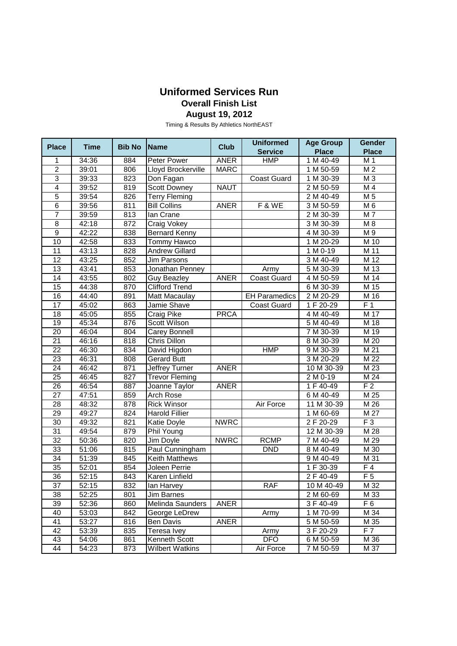## **Uniformed Services Run Overall Finish List August 19, 2012**

Timing & Results By Athletics NorthEAST

| <b>Place</b>    | <b>Time</b>        | <b>Bib No</b> | <b>Name</b>           | <b>Club</b> | <b>Uniformed</b>     | <b>Age Group</b> | Gender          |
|-----------------|--------------------|---------------|-----------------------|-------------|----------------------|------------------|-----------------|
|                 |                    |               |                       |             | <b>Service</b>       | <b>Place</b>     | <b>Place</b>    |
| 1               | 34:36              | 884           | Peter Power           | <b>ANER</b> | HMP                  | 1 M 40-49        | M 1             |
| $\overline{2}$  | 39:01              | 806           | Lloyd Brockerville    | <b>MARC</b> |                      | 1 M 50-59        | M <sub>2</sub>  |
| 3               | 39:33              | 823           | Don Fagan             |             | <b>Coast Guard</b>   | 1 M 30-39        | M 3             |
| $\overline{4}$  | 39:52              | 819           | <b>Scott Downey</b>   | <b>NAUT</b> |                      | 2 M 50-59        | M 4             |
| 5               | 39:54              | 826           | <b>Terry Fleming</b>  |             |                      | 2 M 40-49        | M <sub>5</sub>  |
| $\overline{6}$  | 39:56              | 811           | <b>Bill Collins</b>   | <b>ANER</b> | F&WE                 | 3 M 50-59        | M 6             |
| 7               | 39:59              | 813           | lan Crane             |             |                      | 2 M 30-39        | $\overline{M7}$ |
| $\overline{8}$  | 42:18              | 872           | <b>Craig Vokey</b>    |             |                      | 3 M 30-39        | M8              |
| $\overline{9}$  | 42:22              | 838           | <b>Bernard Kenny</b>  |             |                      | 4 M 30-39        | M 9             |
| 10              | 42:58              | 833           | <b>Tommy Hawco</b>    |             |                      | 1 M 20-29        | M 10            |
| 11              | 43:13              | 828           | <b>Andrew Gillard</b> |             |                      | 1 M 0-19         | M 11            |
| 12              | 43:25              | 852           | <b>Jim Parsons</b>    |             |                      | 3 M 40-49        | M 12            |
| $\overline{13}$ | 43:41              | 853           | Jonathan Penney       |             | Army                 | 5 M 30-39        | M 13            |
| 14              | 43:55              | 802           | Guy Beazley           | <b>ANER</b> | <b>Coast Guard</b>   | 4 M 50-59        | M 14            |
| 15              | 44:38              | 870           | <b>Clifford Trend</b> |             |                      | 6 M 30-39        | M 15            |
| 16              | 44:40              | 891           | Matt Macaulay         |             | <b>EH Paramedics</b> | 2 M 20-29        | M 16            |
| 17              | 45:02              | 863           | Jamie Shave           |             | <b>Coast Guard</b>   | $1 F 20-29$      | F <sub>1</sub>  |
| 18              | 45:05              | 855           | <b>Craig Pike</b>     | <b>PRCA</b> |                      | 4 M 40-49        | M 17            |
| 19              | 45:34              | 876           | Scott Wilson          |             |                      | 5 M 40-49        | M 18            |
| $\overline{20}$ | 46:04              | 804           | Carey Bonnell         |             |                      | 7 M 30-39        | M 19            |
| $\overline{21}$ | 46:16              | 818           | <b>Chris Dillon</b>   |             |                      | 8 M 30-39        | M 20            |
| 22              | 46:30              | 834           | David Higdon          |             | <b>HMP</b>           | 9 M 30-39        | M 21            |
| 23              | 46:31              | 808           | Gerard Butt           |             |                      | 3 M 20-29        | M 22            |
| $\overline{24}$ | 46:42              | 871           | <b>Jeffrey Turner</b> | <b>ANER</b> |                      | 10 M 30-39       | M 23            |
| $\overline{25}$ | 46:45              | 827           | <b>Trevor Fleming</b> |             |                      | 2 M 0-19         | M 24            |
| 26              | 46:54              | 887           | Joanne Taylor         | <b>ANER</b> |                      | 1 F 40-49        | F <sub>2</sub>  |
| $\overline{27}$ | 47:51              | 859           | <b>Arch Rose</b>      |             |                      | 6 M 40-49        | M 25            |
| 28              | 48:32              | 878           | <b>Rick Winsor</b>    |             | Air Force            | 11 M 30-39       | M 26            |
| 29              | 49:27              | 824           | <b>Harold Fillier</b> |             |                      | 1 M 60-69        | M 27            |
| $\overline{30}$ | 49:32              | 821           | Katie Doyle           | <b>NWRC</b> |                      | 2 F 20-29        | $F_3$           |
| $\overline{31}$ | 49:54              | 879           | Phil Young            |             |                      | 12 M 30-39       | M 28            |
| $\overline{32}$ | 50:36              | 820           | Jim Doyle             | <b>NWRC</b> | <b>RCMP</b>          | 7 M 40-49        | M 29            |
| 33              | 51:06              | 815           | Paul Cunningham       |             | <b>DND</b>           | 8 M 40-49        | M 30            |
| $\overline{34}$ | 51:39              | 845           | <b>Keith Matthews</b> |             |                      | 9 M 40-49        | M 31            |
| 35              | $\overline{52:}01$ | 854           | Joleen Perrie         |             |                      | 1 F 30-39        | F <sub>4</sub>  |
| 36              | 52:15              | 843           | Karen Linfield        |             |                      | 2 F 40-49        | F <sub>5</sub>  |
| 37              | 52:15              | 832           | lan Harvey            |             | <b>RAF</b>           | 10 M 40-49       | M 32            |
| 38              | 52:25              | 801           | Jim Barnes            |             |                      | 2 M 60-69        | M 33            |
| 39              | 52:36              | 860           | Melinda Saunders      | <b>ANER</b> |                      | 3 F 40-49        | F <sub>6</sub>  |
| 40              | 53:03              | 842           | George LeDrew         |             | Army                 | 1 M 70-99        | M 34            |
| 41              | 53:27              | 816           | Ben Davis             | ANER        |                      | 5 M 50-59        | M 35            |
| 42              | 53:39              | 835           | Teresa Ivey           |             | Army                 | 3 F 20-29        | F <sub>7</sub>  |
| 43              | 54:06              | 861           | Kenneth Scott         |             | <b>DFO</b>           | 6 M 50-59        | M 36            |
| 44              | 54:23              | 873           | Wilbert Watkins       |             | Air Force            | 7 M 50-59        | M 37            |